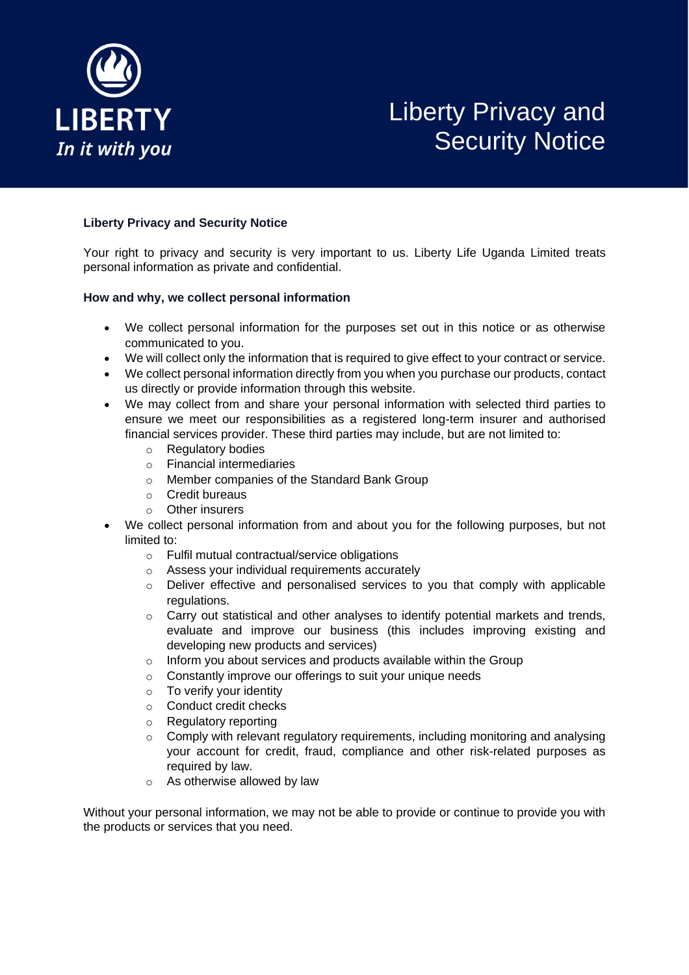

# Liberty Privacy and Security Notice

# **Liberty Privacy and Security Notice**

Your right to privacy and security is very important to us. Liberty Life Uganda Limited treats personal information as private and confidential.

# **How and why, we collect personal information**

- We collect personal information for the purposes set out in this notice or as otherwise communicated to you.
- We will collect only the information that is required to give effect to your contract or service.
- We collect personal information directly from you when you purchase our products, contact us directly or provide information through this website.
- We may collect from and share your personal information with selected third parties to ensure we meet our responsibilities as a registered long-term insurer and authorised financial services provider. These third parties may include, but are not limited to:
	- o Regulatory bodies
	- o Financial intermediaries
	- o Member companies of the Standard Bank Group
	- o Credit bureaus
	- o Other insurers
- We collect personal information from and about you for the following purposes, but not limited to:
	- o Fulfil mutual contractual/service obligations
	- o Assess your individual requirements accurately
	- $\circ$  Deliver effective and personalised services to you that comply with applicable regulations.
	- $\circ$  Carry out statistical and other analyses to identify potential markets and trends, evaluate and improve our business (this includes improving existing and developing new products and services)
	- o Inform you about services and products available within the Group
	- o Constantly improve our offerings to suit your unique needs
	- o To verify your identity
	- o Conduct credit checks
	- o Regulatory reporting
	- $\circ$  Comply with relevant regulatory requirements, including monitoring and analysing your account for credit, fraud, compliance and other risk-related purposes as required by law.
	- o As otherwise allowed by law

Without your personal information, we may not be able to provide or continue to provide you with the products or services that you need.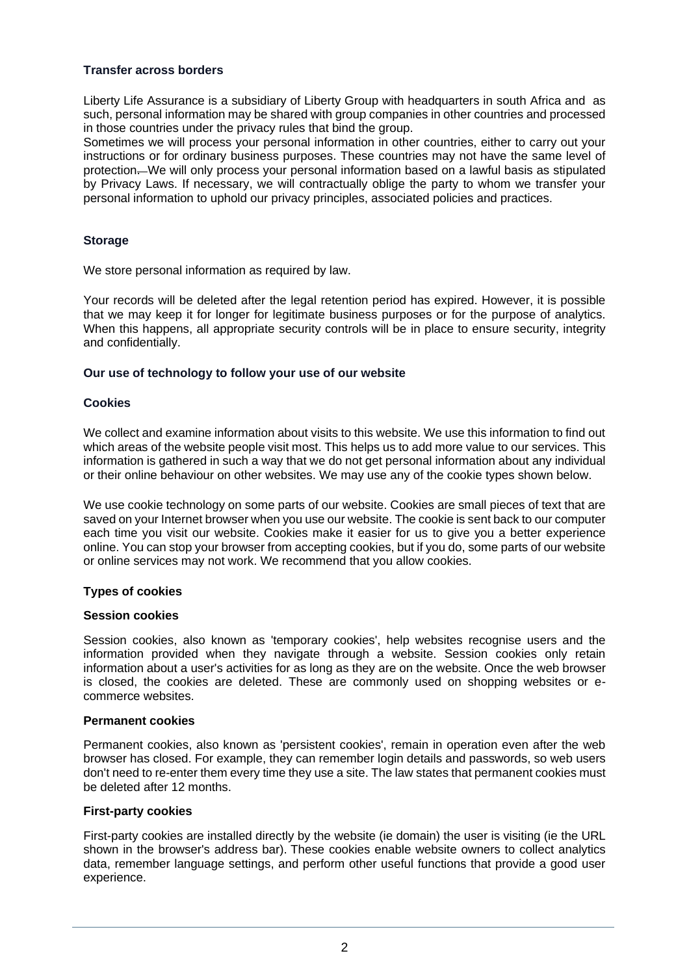# **Transfer across borders**

Liberty Life Assurance is a subsidiary of Liberty Group with headquarters in south Africa and as such, personal information may be shared with group companies in other countries and processed in those countries under the privacy rules that bind the group.

Sometimes we will process your personal information in other countries, either to carry out your instructions or for ordinary business purposes. These countries may not have the same level of protection. We will only process your personal information based on a lawful basis as stipulated by Privacy Laws. If necessary, we will contractually oblige the party to whom we transfer your personal information to uphold our privacy principles, associated policies and practices.

# **Storage**

We store personal information as required by law.

Your records will be deleted after the legal retention period has expired. However, it is possible that we may keep it for longer for legitimate business purposes or for the purpose of analytics. When this happens, all appropriate security controls will be in place to ensure security, integrity and confidentially.

# **Our use of technology to follow your use of our website**

# **Cookies**

We collect and examine information about visits to this website. We use this information to find out which areas of the website people visit most. This helps us to add more value to our services. This information is gathered in such a way that we do not get personal information about any individual or their online behaviour on other websites. We may use any of the cookie types shown below.

We use cookie technology on some parts of our website. Cookies are small pieces of text that are saved on your Internet browser when you use our website. The cookie is sent back to our computer each time you visit our website. Cookies make it easier for us to give you a better experience online. You can stop your browser from accepting cookies, but if you do, some parts of our website or online services may not work. We recommend that you allow cookies.

#### **Types of cookies**

#### **Session cookies**

Session cookies, also known as 'temporary cookies', help websites recognise users and the information provided when they navigate through a website. Session cookies only retain information about a user's activities for as long as they are on the website. Once the web browser is closed, the cookies are deleted. These are commonly used on shopping websites or ecommerce websites.

#### **Permanent cookies**

Permanent cookies, also known as 'persistent cookies', remain in operation even after the web browser has closed. For example, they can remember login details and passwords, so web users don't need to re-enter them every time they use a site. The law states that permanent cookies must be deleted after 12 months.

#### **First-party cookies**

First-party cookies are installed directly by the website (ie domain) the user is visiting (ie the URL shown in the browser's address bar). These cookies enable website owners to collect analytics data, remember language settings, and perform other useful functions that provide a good user experience.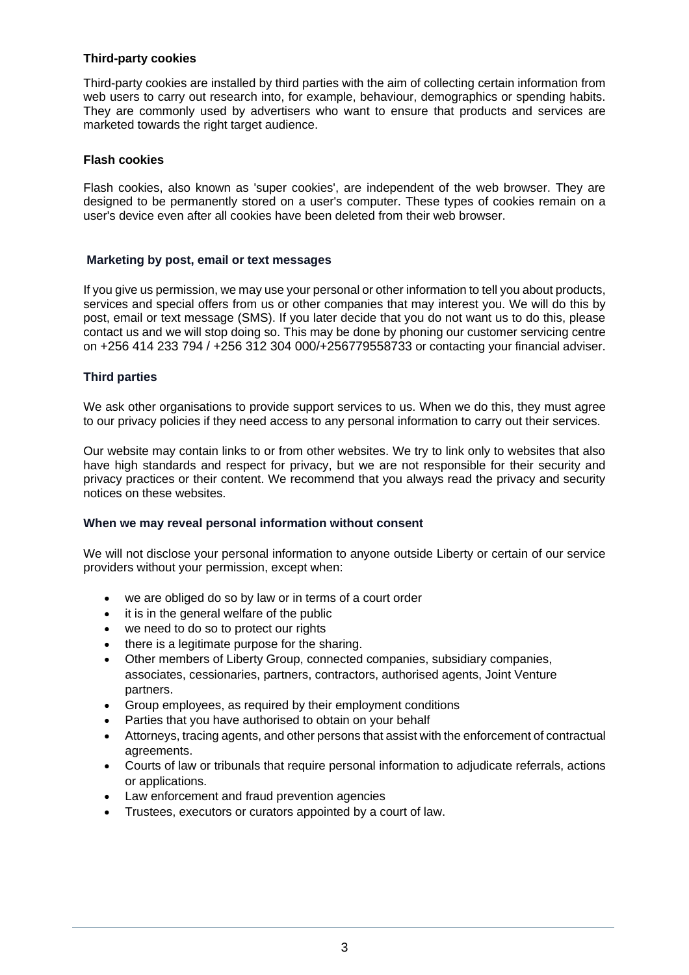#### **Third-party cookies**

Third-party cookies are installed by third parties with the aim of collecting certain information from web users to carry out research into, for example, behaviour, demographics or spending habits. They are commonly used by advertisers who want to ensure that products and services are marketed towards the right target audience.

#### **Flash cookies**

Flash cookies, also known as 'super cookies', are independent of the web browser. They are designed to be permanently stored on a user's computer. These types of cookies remain on a user's device even after all cookies have been deleted from their web browser.

# **Marketing by post, email or text messages**

If you give us permission, we may use your personal or other information to tell you about products, services and special offers from us or other companies that may interest you. We will do this by post, email or text message (SMS). If you later decide that you do not want us to do this, please contact us and we will stop doing so. This may be done by phoning our customer servicing centre on [+256 414 233 794 / +256 312 304](tel:+27860456789) 000/+256779558733 or contacting your financial adviser.

# **Third parties**

We ask other organisations to provide support services to us. When we do this, they must agree to our privacy policies if they need access to any personal information to carry out their services.

Our website may contain links to or from other websites. We try to link only to websites that also have high standards and respect for privacy, but we are not responsible for their security and privacy practices or their content. We recommend that you always read the privacy and security notices on these websites.

#### **When we may reveal personal information without consent**

We will not disclose your personal information to anyone outside Liberty or certain of our service providers without your permission, except when:

- we are obliged do so by law or in terms of a court order
- it is in the general welfare of the public
- we need to do so to protect our rights
- there is a legitimate purpose for the sharing.
- Other members of Liberty Group, connected companies, subsidiary companies, associates, cessionaries, partners, contractors, authorised agents, Joint Venture partners.
- Group employees, as required by their employment conditions
- Parties that you have authorised to obtain on your behalf
- Attorneys, tracing agents, and other persons that assist with the enforcement of contractual agreements.
- Courts of law or tribunals that require personal information to adjudicate referrals, actions or applications.
- Law enforcement and fraud prevention agencies
- Trustees, executors or curators appointed by a court of law.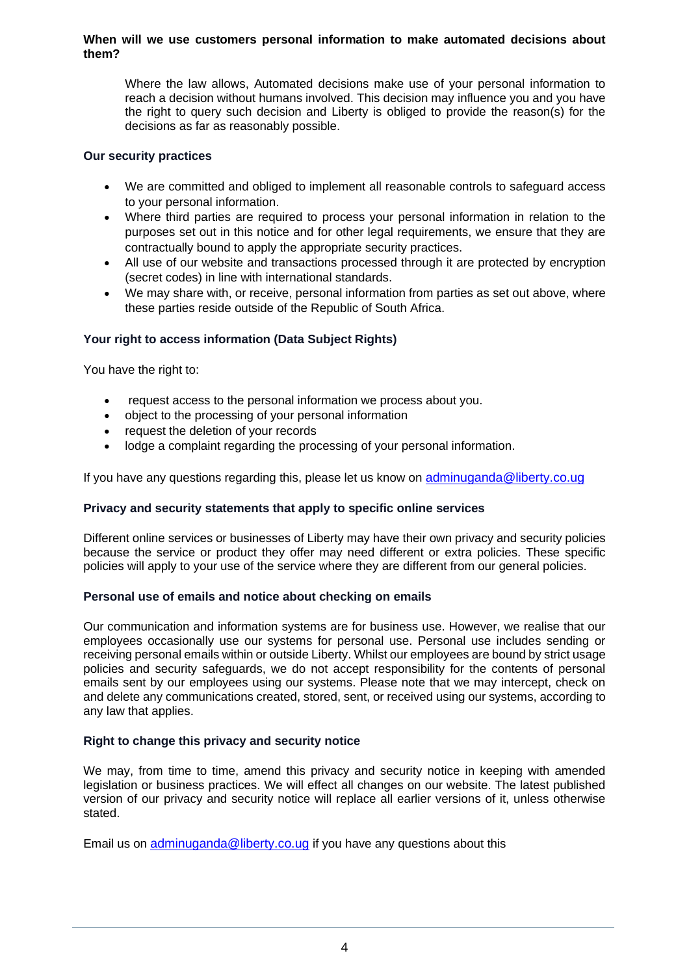#### **When will we use customers personal information to make automated decisions about them?**

Where the law allows, Automated decisions make use of your personal information to reach a decision without humans involved. This decision may influence you and you have the right to query such decision and Liberty is obliged to provide the reason(s) for the decisions as far as reasonably possible.

# **Our security practices**

- We are committed and obliged to implement all reasonable controls to safeguard access to your personal information.
- Where third parties are required to process your personal information in relation to the purposes set out in this notice and for other legal requirements, we ensure that they are contractually bound to apply the appropriate security practices.
- All use of our website and transactions processed through it are protected by encryption (secret codes) in line with international standards.
- We may share with, or receive, personal information from parties as set out above, where these parties reside outside of the Republic of South Africa.

# **Your right to access information (Data Subject Rights)**

You have the right to:

- request access to the personal information we process about you.
- object to the processing of your personal information
- request the deletion of your records
- lodge a complaint regarding the processing of your personal information.

If you have any questions regarding this, please let us know on [adminuganda@liberty.co.ug](mailto:adminuganda@liberty.co.ug)

#### **Privacy and security statements that apply to specific online services**

Different online services or businesses of Liberty may have their own privacy and security policies because the service or product they offer may need different or extra policies. These specific policies will apply to your use of the service where they are different from our general policies.

#### **Personal use of emails and notice about checking on emails**

Our communication and information systems are for business use. However, we realise that our employees occasionally use our systems for personal use. Personal use includes sending or receiving personal emails within or outside Liberty. Whilst our employees are bound by strict usage policies and security safeguards, we do not accept responsibility for the contents of personal emails sent by our employees using our systems. Please note that we may intercept, check on and delete any communications created, stored, sent, or received using our systems, according to any law that applies.

#### **Right to change this privacy and security notice**

We may, from time to time, amend this privacy and security notice in keeping with amended legislation or business practices. We will effect all changes on our website. The latest published version of our privacy and security notice will replace all earlier versions of it, unless otherwise stated.

Email us on [adminuganda@liberty.co.ug](mailto:adminuganda@liberty.co.ug) if you have any questions about this